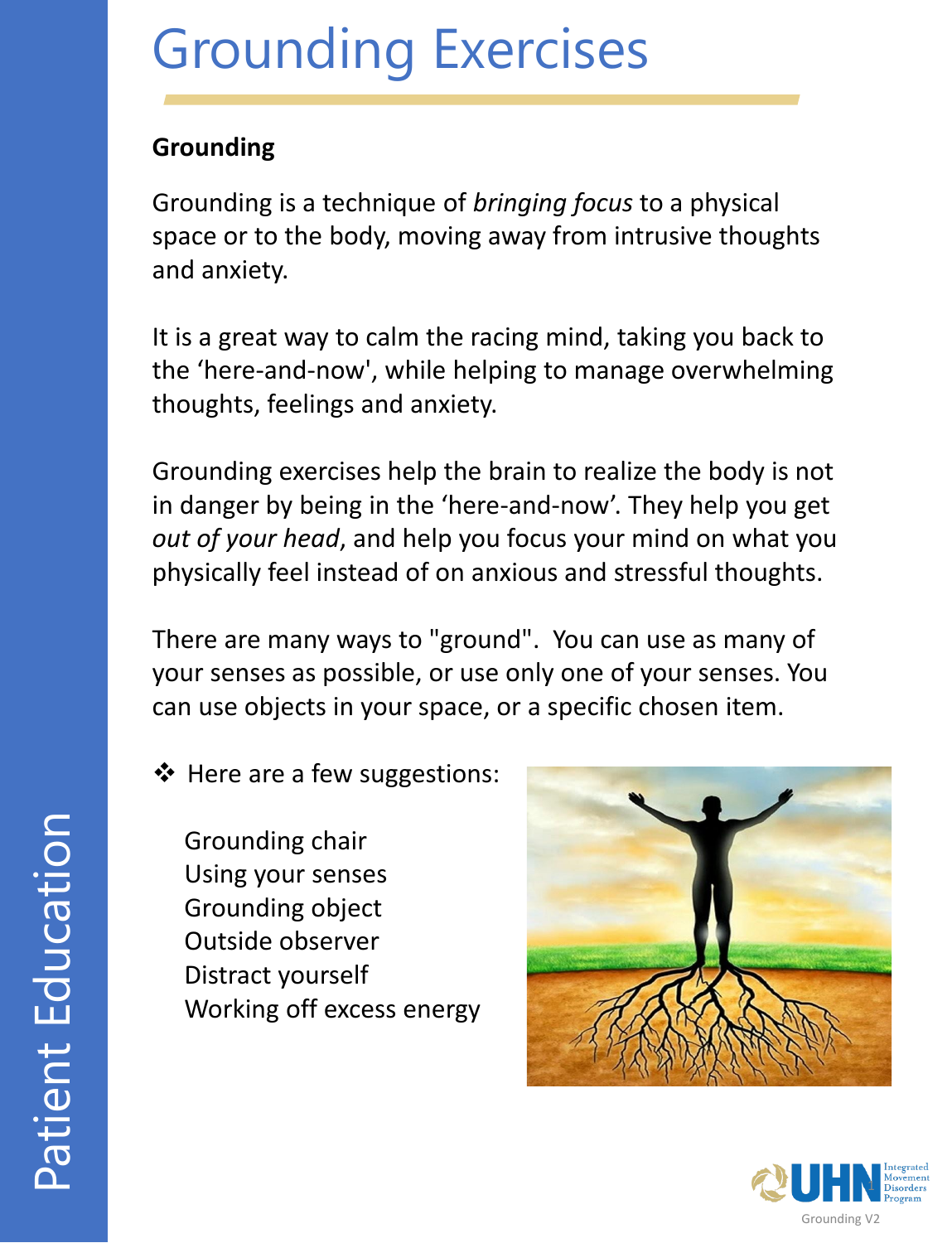### **Grounding**

Grounding is a technique of *bringing focus* to a physical space or to the body, moving away from intrusive thoughts and anxiety.

It is a great way to calm the racing mind, taking you back to the 'here-and-now', while helping to manage overwhelming thoughts, feelings and anxiety.

Grounding exercises help the brain to realize the body is not in danger by being in the 'here-and-now'. They help you get *out of your head*, and help you focus your mind on what you physically feel instead of on anxious and stressful thoughts.

There are many ways to "ground". You can use as many of your senses as possible, or use only one of your senses. You can use objects in your space, or a specific chosen item.

❖ Here are a few suggestions:

Grounding chair Using your senses Grounding object Outside observer Distract yourself Working off excess energy



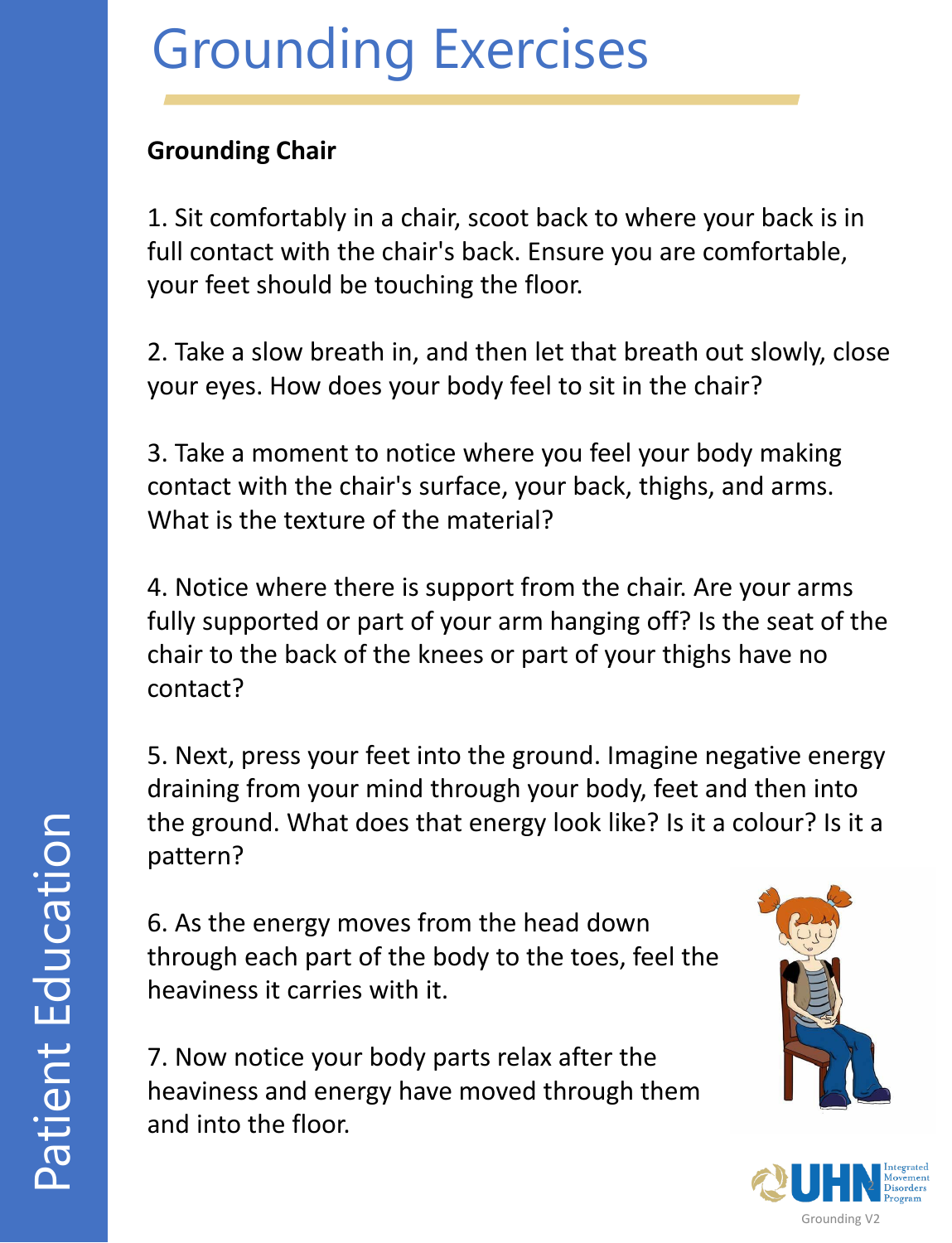### **Grounding Chair**

1. Sit comfortably in a chair, scoot back to where your back is in full contact with the chair's back. Ensure you are comfortable, your feet should be touching the floor.

2. Take a slow breath in, and then let that breath out slowly, close your eyes. How does your body feel to sit in the chair?

3. Take a moment to notice where you feel your body making contact with the chair's surface, your back, thighs, and arms. What is the texture of the material?

4. Notice where there is support from the chair. Are your arms fully supported or part of your arm hanging off? Is the seat of the chair to the back of the knees or part of your thighs have no contact?

5. Next, press your feet into the ground. Imagine negative energy draining from your mind through your body, feet and then into the ground. What does that energy look like? Is it a colour? Is it a pattern?

6. As the energy moves from the head down through each part of the body to the toes, feel the heaviness it carries with it.

7. Now notice your body parts relax after the heaviness and energy have moved through them and into the floor.



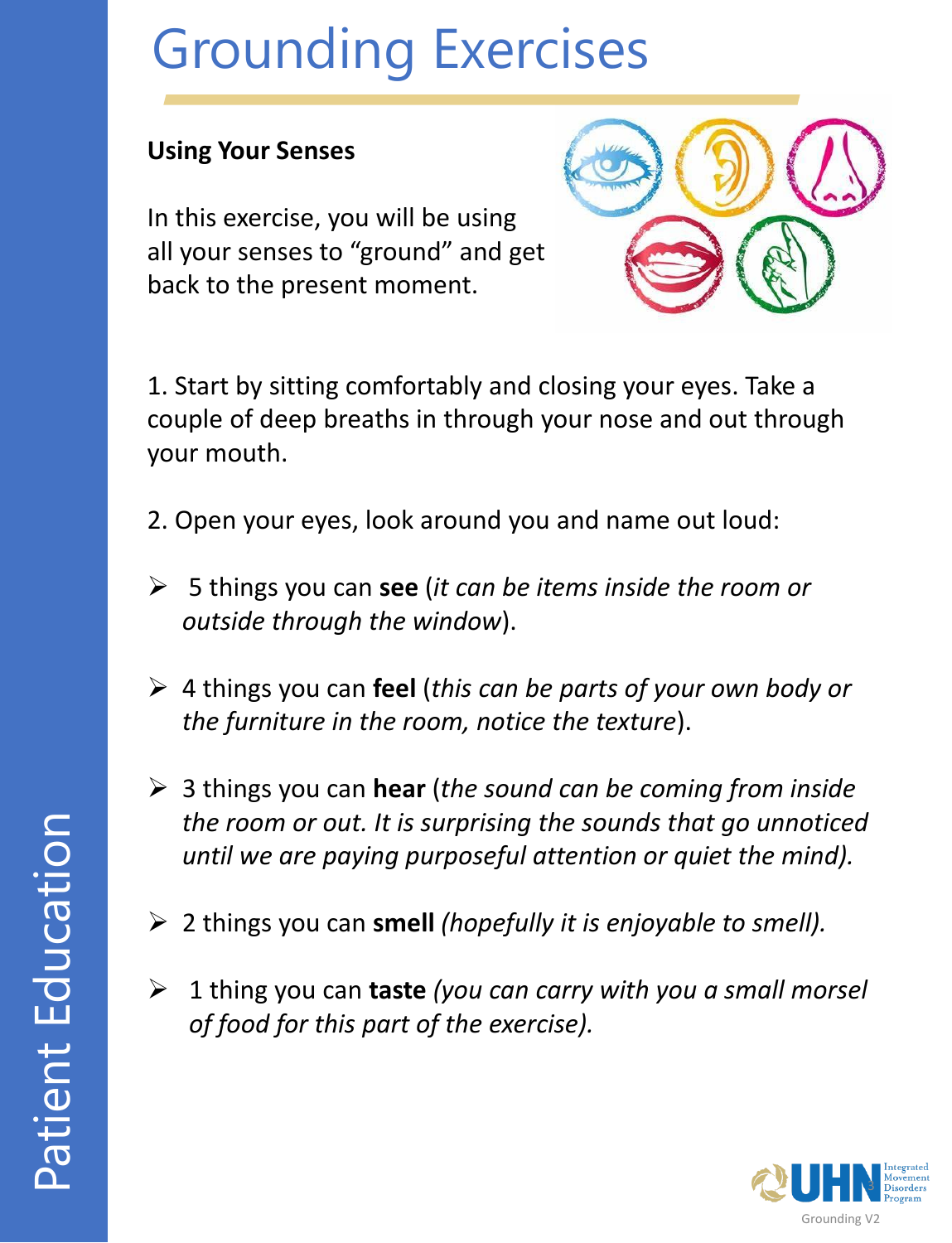#### **Using Your Senses**

In this exercise, you will be using all your senses to "ground" and get back to the present moment.



1. Start by sitting comfortably and closing your eyes. Take a couple of deep breaths in through your nose and out through your mouth.

- 2. Open your eyes, look around you and name out loud:
- ➢ 5 things you can **see** (*it can be items inside the room or outside through the window*).
- ➢ 4 things you can **feel** (*this can be parts of your own body or the furniture in the room, notice the texture*).
- ➢ 3 things you can **hear** (*the sound can be coming from inside the room or out. It is surprising the sounds that go unnoticed until we are paying purposeful attention or quiet the mind).*
- ➢ 2 things you can **smell** *(hopefully it is enjoyable to smell).*
- ➢ 1 thing you can **taste** *(you can carry with you a small morsel of food for this part of the exercise).*

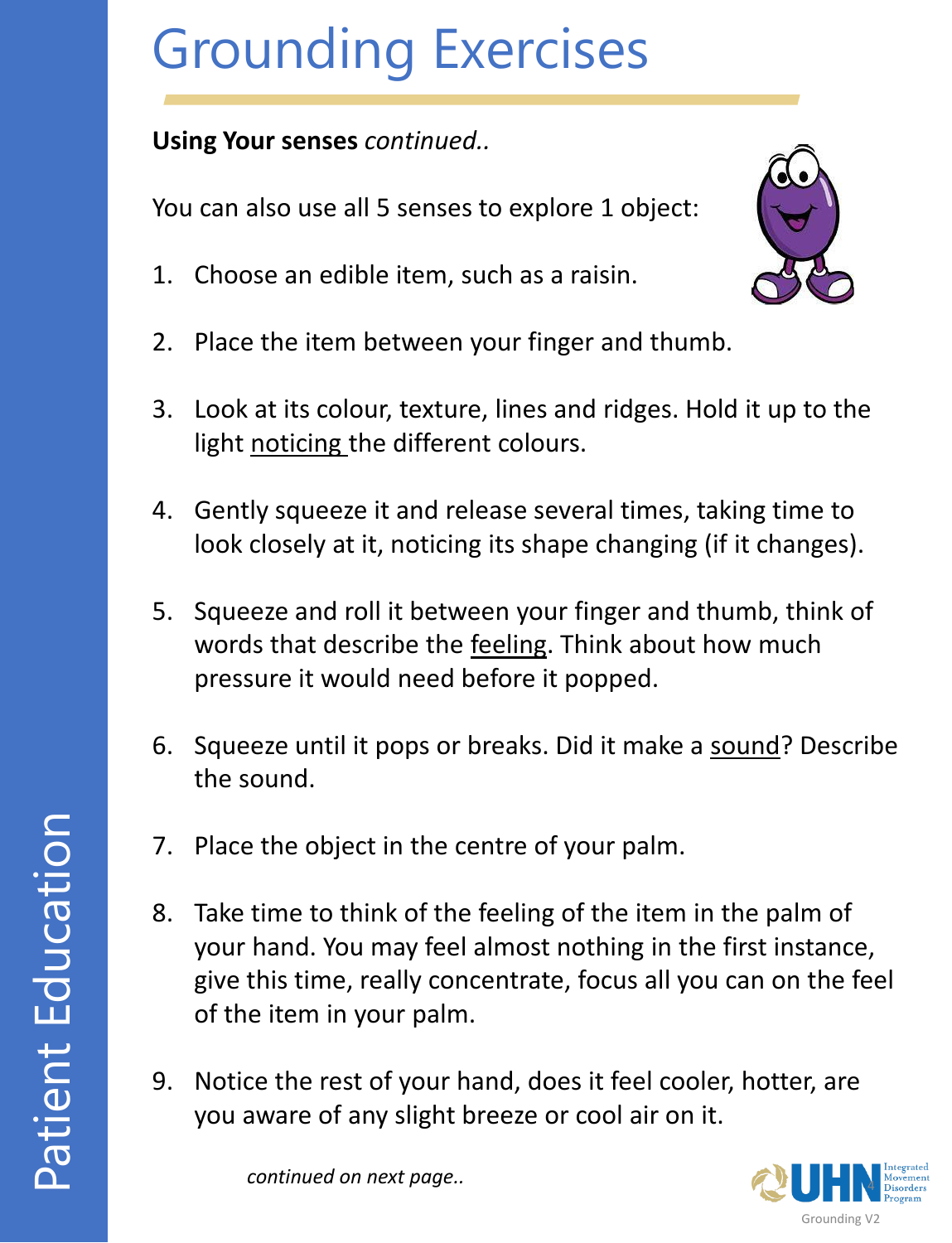#### **Using Your senses** *continued..*

You can also use all 5 senses to explore 1 object:

1. Choose an edible item, such as a raisin.



- 2. Place the item between your finger and thumb.
- 3. Look at its colour, texture, lines and ridges. Hold it up to the light noticing the different colours.
- 4. Gently squeeze it and release several times, taking time to look closely at it, noticing its shape changing (if it changes).
- 5. Squeeze and roll it between your finger and thumb, think of words that describe the feeling. Think about how much pressure it would need before it popped.
- 6. Squeeze until it pops or breaks. Did it make a sound? Describe the sound.
- 7. Place the object in the centre of your palm.
- 8. Take time to think of the feeling of the item in the palm of your hand. You may feel almost nothing in the first instance, give this time, really concentrate, focus all you can on the feel of the item in your palm.
- 9. Notice the rest of your hand, does it feel cooler, hotter, are you aware of any slight breeze or cool air on it.

*continued on next page..*

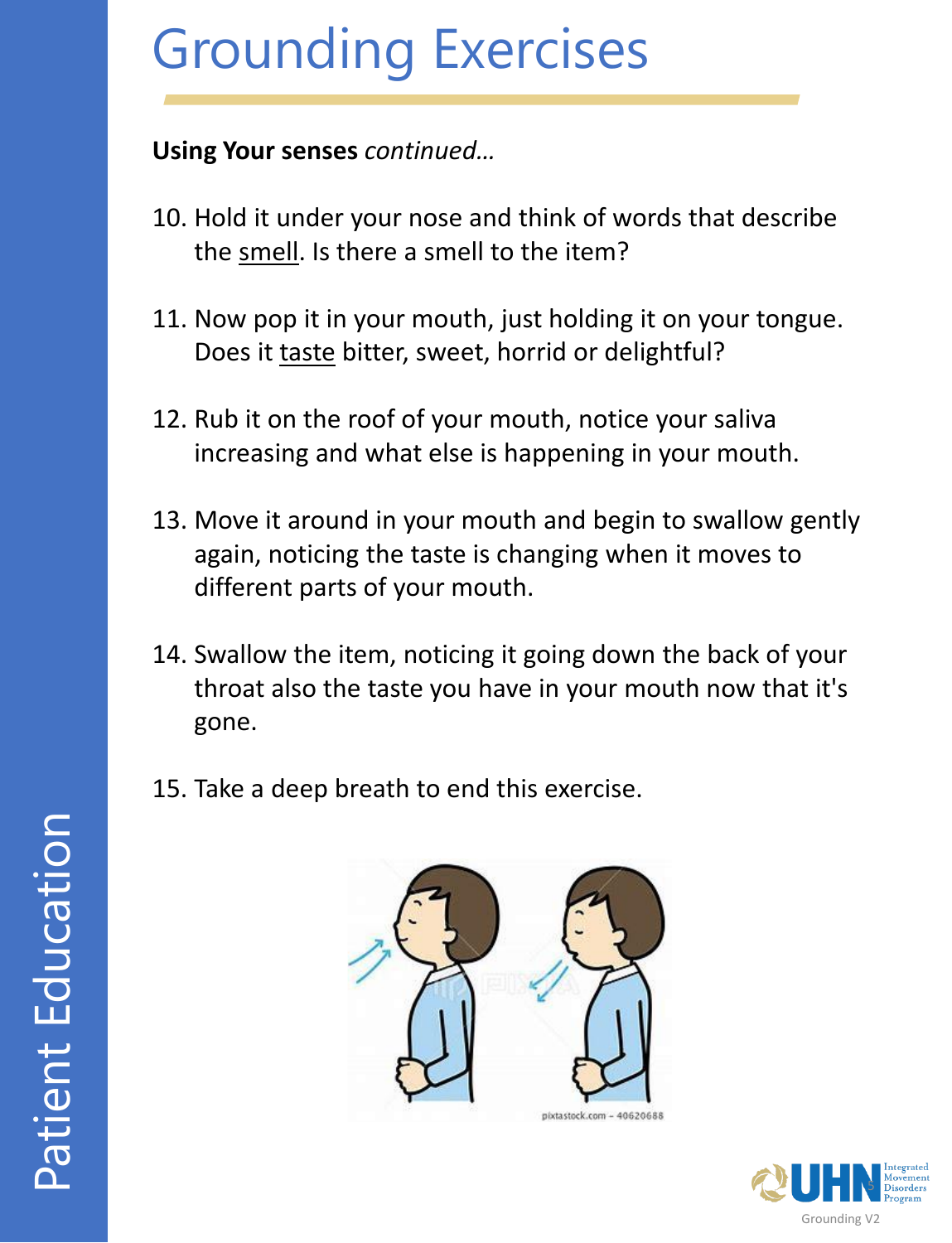**Using Your senses** *continued…*

- 10. Hold it under your nose and think of words that describe the smell. Is there a smell to the item?
- 11. Now pop it in your mouth, just holding it on your tongue. Does it taste bitter, sweet, horrid or delightful?
- 12. Rub it on the roof of your mouth, notice your saliva increasing and what else is happening in your mouth.
- 13. Move it around in your mouth and begin to swallow gently again, noticing the taste is changing when it moves to different parts of your mouth.
- 14. Swallow the item, noticing it going down the back of your throat also the taste you have in your mouth now that it's gone.
- 15. Take a deep breath to end this exercise.



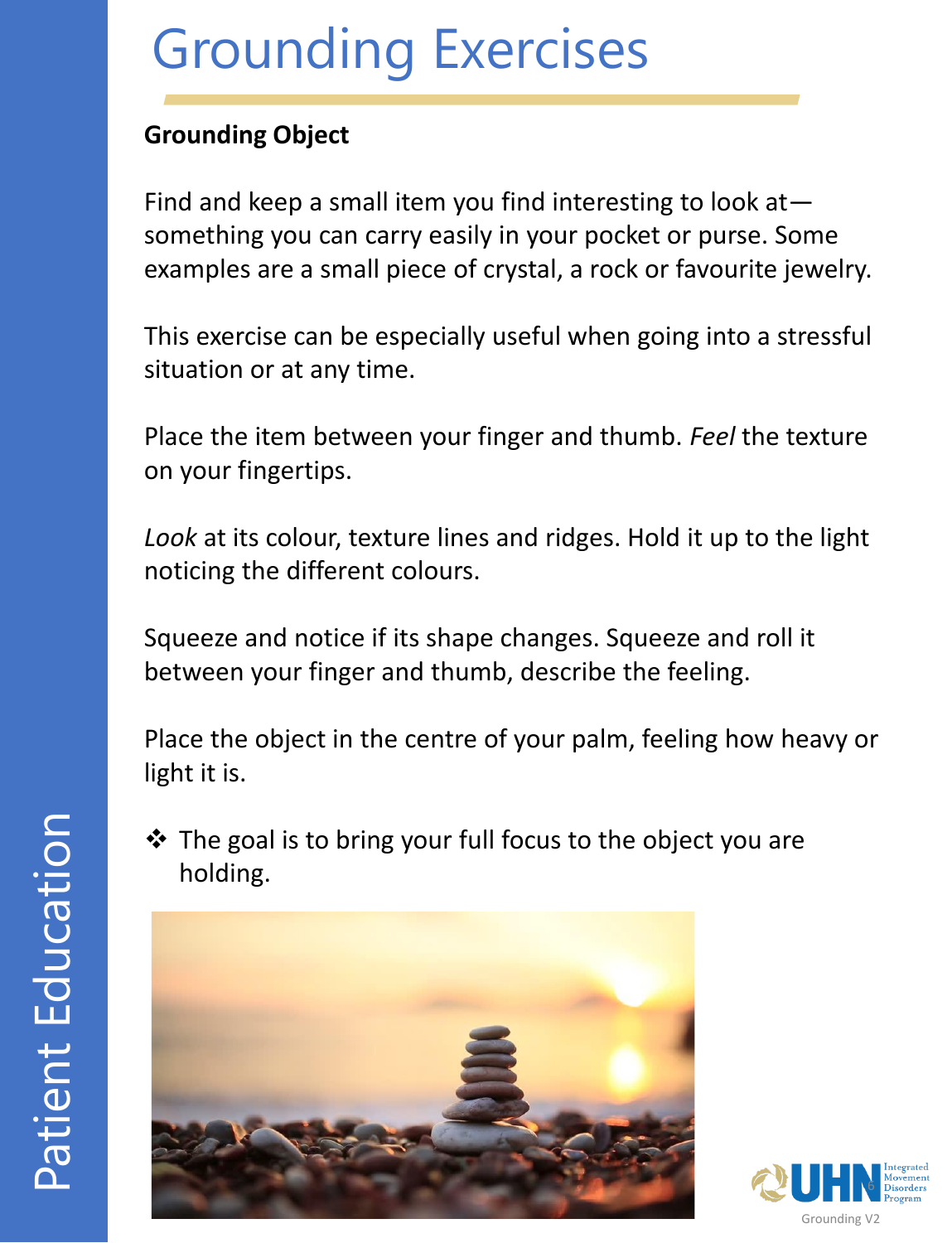#### **Grounding Object**

Find and keep a small item you find interesting to look at something you can carry easily in your pocket or purse. Some examples are a small piece of crystal, a rock or favourite jewelry.

This exercise can be especially useful when going into a stressful situation or at any time.

Place the item between your finger and thumb. *Feel* the texture on your fingertips.

*Look* at its colour, texture lines and ridges. Hold it up to the light noticing the different colours.

Squeeze and notice if its shape changes. Squeeze and roll it between your finger and thumb, describe the feeling.

Place the object in the centre of your palm, feeling how heavy or light it is.

❖ The goal is to bring your full focus to the object you are holding.



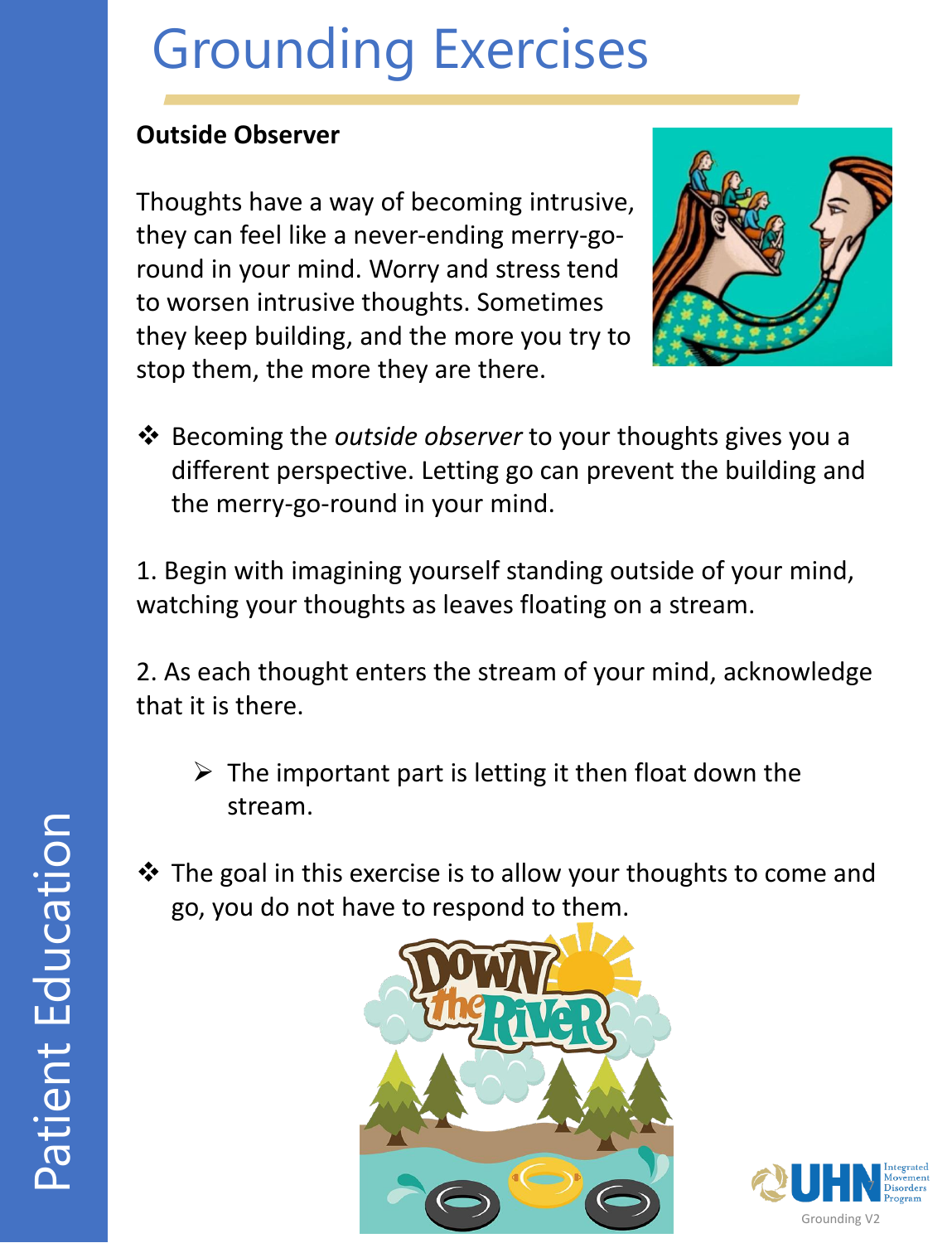#### **Outside Observer**

Thoughts have a way of becoming intrusive, they can feel like a never-ending merry-goround in your mind. Worry and stress tend to worsen intrusive thoughts. Sometimes they keep building, and the more you try to stop them, the more they are there.



❖ Becoming the *outside observer* to your thoughts gives you a different perspective. Letting go can prevent the building and the merry-go-round in your mind.

1. Begin with imagining yourself standing outside of your mind, watching your thoughts as leaves floating on a stream.

2. As each thought enters the stream of your mind, acknowledge that it is there.

- $\triangleright$  The important part is letting it then float down the stream.
- ❖ The goal in this exercise is to allow your thoughts to come and go, you do not have to respond to them.